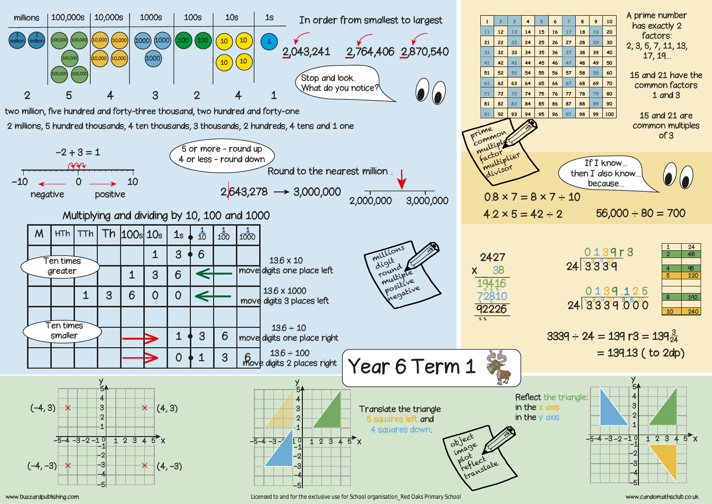

www.buzzardpublishing.com www.candomathsclub.co.uk licensed to and for the exclusive use for School organisation\_Red Oaks Primary School www.candomathsclub.co.uk

| 6  | 7  | 8  | 9  | 10  |
|----|----|----|----|-----|
| 16 | 17 | 18 | 19 | 20  |
| 26 | 27 | 28 | 29 | 30  |
| 36 | 37 | 38 | 39 | 40  |
| 46 | 47 | 48 | 49 | 50  |
| 56 | 57 | 58 | 59 | 60  |
| 66 | 67 | 68 | 69 | 70  |
| 76 | 77 | 78 | 79 | 80  |
| 86 | 87 | 88 | 89 | 90  |
| 96 | 97 | 98 | 99 | 100 |
|    |    |    |    |     |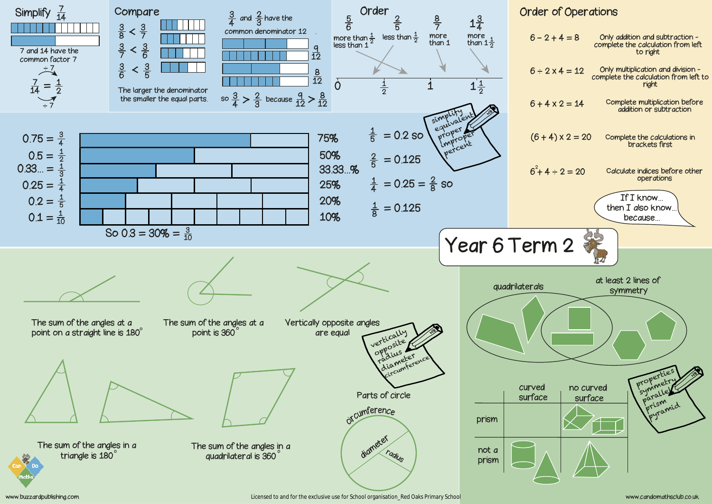| $6 - 2 + 4 = 8$                         | Only addition and subtraction -<br>complete the calculation from left<br>to right    |
|-----------------------------------------|--------------------------------------------------------------------------------------|
| $6 \div 2 \times 4 = 12$                | Only multiplication and division -<br>complete the calculation from left to<br>right |
| $6 + 4 \times 2 = 14$                   | Complete multiplication before<br>addition or subtraction                            |
| $(6 + 4) \times 2 = 20$                 | Complete the calculations in<br>brackets first                                       |
| $6^{2}$ + 4 ÷ 2 = 20                    | Calculate indices before other<br>operations                                         |
|                                         | If I know<br>then $I$ also know<br>because                                           |
|                                         |                                                                                      |
| erm 2                                   |                                                                                      |
|                                         |                                                                                      |
| terals                                  | at least 2 lines of<br>symmetry                                                      |
|                                         |                                                                                      |
| urved<br>no curved<br>urface<br>surface | properties<br>symmetry<br>prism<br>pyramid                                           |
|                                         |                                                                                      |
|                                         |                                                                                      |



www.buzzardpublishing.com www.candomathsclub.co.uk licensed to and for the exclusive use for School organisation\_Red Oaks Primary School www.candomathsclub.co.uk

## Order of Operations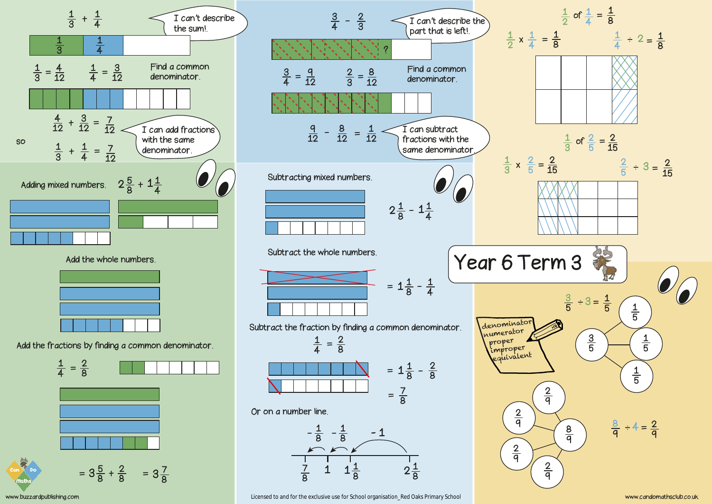

Add the whole numbers.



Add the fractions by finding a common denominator.





www.buzzardpublishing.com www.candomathsclub.co.uk licensed to and for the exclusive use for School organisation\_Red Oaks Primary School and the content of the exclusive use for School organisation\_Red Oaks Primary School